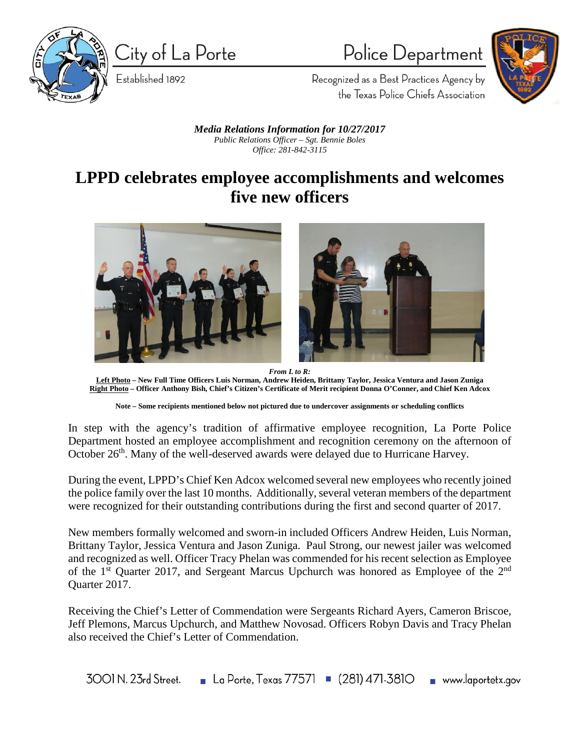

City of La Porte

Established 1892

Police Department

Recognized as a Best Practices Agency by the Texas Police Chiefs Association

*Media Relations Information for 10/27/2017 Public Relations Officer – Sgt. Bennie Boles Office: 281-842-3115*

## **LPPD celebrates employee accomplishments and welcomes five new officers**



*From L to R:* **Left Photo – New Full Time Officers Luis Norman, Andrew Heiden, Brittany Taylor, Jessica Ventura and Jason Zuniga Right Photo – Officer Anthony Bish, Chief's Citizen's Certificate of Merit recipient Donna O'Conner, and Chief Ken Adcox**

In step with the agency's tradition of affirmative employee recognition, La Porte Police Department hosted an employee accomplishment and recognition ceremony on the afternoon of October 26<sup>th</sup>. Many of the well-deserved awards were delayed due to Hurricane Harvey.

During the event, LPPD's Chief Ken Adcox welcomed several new employees who recently joined the police family over the last 10 months. Additionally, several veteran members of the department were recognized for their outstanding contributions during the first and second quarter of 2017.

New members formally welcomed and sworn-in included Officers Andrew Heiden, Luis Norman, Brittany Taylor, Jessica Ventura and Jason Zuniga. Paul Strong, our newest jailer was welcomed and recognized as well. Officer Tracy Phelan was commended for his recent selection as Employee of the 1<sup>st</sup> Quarter 2017, and Sergeant Marcus Upchurch was honored as Employee of the 2<sup>nd</sup> Quarter 2017.

Receiving the Chief's Letter of Commendation were Sergeants Richard Ayers, Cameron Briscoe, Jeff Plemons, Marcus Upchurch, and Matthew Novosad. Officers Robyn Davis and Tracy Phelan also received the Chief's Letter of Commendation.

La Porte, Texas 77571  $(281)$  471-3810 www.laportetx.gov 3001 N, 23rd Street.

**Note – Some recipients mentioned below not pictured due to undercover assignments or scheduling conflicts**